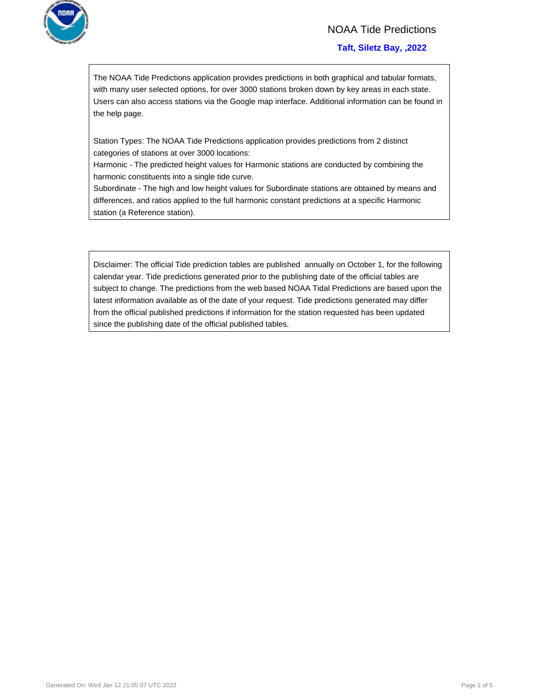

## NOAA Tide Predictions

#### **Taft, Siletz Bay, ,2022**

The NOAA Tide Predictions application provides predictions in both graphical and tabular formats, with many user selected options, for over 3000 stations broken down by key areas in each state. Users can also access stations via the Google map interface. Additional information can be found in the help page.

Station Types: The NOAA Tide Predictions application provides predictions from 2 distinct categories of stations at over 3000 locations:

Harmonic - The predicted height values for Harmonic stations are conducted by combining the harmonic constituents into a single tide curve.

Subordinate - The high and low height values for Subordinate stations are obtained by means and differences, and ratios applied to the full harmonic constant predictions at a specific Harmonic station (a Reference station).

Disclaimer: The official Tide prediction tables are published annually on October 1, for the following calendar year. Tide predictions generated prior to the publishing date of the official tables are subject to change. The predictions from the web based NOAA Tidal Predictions are based upon the latest information available as of the date of your request. Tide predictions generated may differ from the official published predictions if information for the station requested has been updated since the publishing date of the official published tables.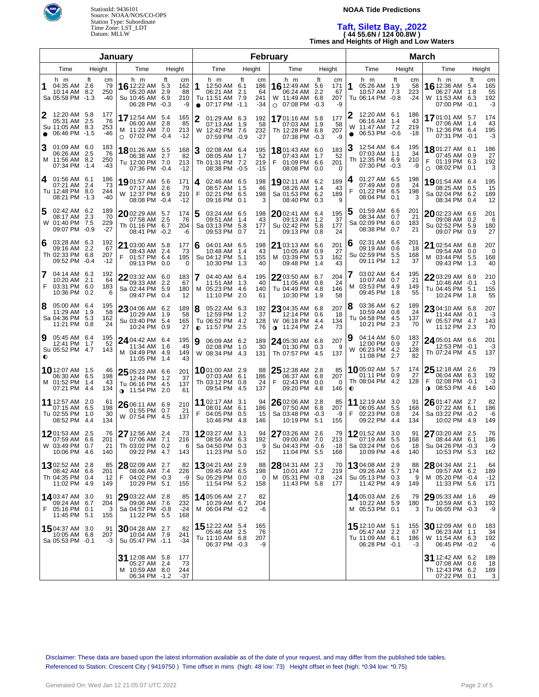

#### **NOAA Tide Predictions**

#### **Taft, Siletz Bay, ,2022 ( 44 55.6N / 124 00.8W ) Times and Heights of High and Low Waters**

| January        |                                                                           |               |                           |      |     |                                                                            |                            | <b>February</b>              |        |                                                                                   |  |        |                                 |   |      |                                                                          |                     | <b>March</b>                 |                |                                                                            |    |                           |              |                                                                       |                   |                              |
|----------------|---------------------------------------------------------------------------|---------------|---------------------------|------|-----|----------------------------------------------------------------------------|----------------------------|------------------------------|--------|-----------------------------------------------------------------------------------|--|--------|---------------------------------|---|------|--------------------------------------------------------------------------|---------------------|------------------------------|----------------|----------------------------------------------------------------------------|----|---------------------------|--------------|-----------------------------------------------------------------------|-------------------|------------------------------|
| Time<br>Height |                                                                           |               |                           | Time |     | Height                                                                     |                            | Time                         |        |                                                                                   |  | Height |                                 |   | Time |                                                                          | Height              |                              | Time           | Height                                                                     |    |                           | Time         |                                                                       | Height            |                              |
| 1              | h m<br>04:35 AM 2.6<br>10:14 AM 8.2<br>Sa 05:58 PM -1.3                   | ft            | cm<br>79<br>250<br>-40    |      | h m | 16 12:22 AM 5.3<br>05:20 AM<br>Su 10:45 AM<br>06:28 PM                     | ft<br>2.9<br>6.9<br>$-0.3$ | cm<br>162<br>88<br>210<br>-9 | 1      | h m<br>12:50 AM 6.1<br>06:21 AM 2.1<br>Tu 11:51 AM 7.9<br>$\bullet$ 07:17 PM -1.1 |  | ft     | cm<br>186<br>64<br>241<br>$-34$ |   | h m  | <b>16</b> 12:49 AM 5.6<br>06:24 AM<br>W 11:49 AM 6.8<br>$\circ$ 07:08 PM | ft<br>2.2<br>$-0.3$ | cm<br>171<br>67<br>207<br>-9 | 1              | h m<br>05:26 AM 1.9<br>10:57 AM 7.3<br>Tu 06:14 PM -0.8                    | ft | cm<br>58<br>223<br>$-24$  |              | h m<br>16 12:36 AM<br>06:27 AM<br>W 11:53 AM 6.3<br>07:00 PM -0.1     | ft<br>5.4<br>1.8  | cm<br>165<br>55<br>192<br>-3 |
| $\bullet$      | 12:20 AM<br>05:31 AM<br>Su 11:05 AM 8.3<br>06:46 PM -1.5                  | -5.8<br>2.5   | 177<br>76<br>253<br>-46   |      |     | 17 12:54 AM 5.4<br>06:00 AM 2.8<br>M 11:23 AM 7.0<br>$\circ$ 07:02 PM -0.4 |                            | 165<br>85<br>213<br>$-12$    |        | 01:29 AM 6.3<br>07:13 AM 1.9<br>W 12:42 PM 7.6<br>07:59 PM -0.9                   |  |        | 192<br>58<br>232<br>-27         |   |      | 1701:16 AM 5.8<br>07:03 AM 1.9<br>Th 12:28 PM 6.8<br>07:38 PM -0.3       |                     | 177<br>58<br>207<br>-9       | W<br>$\bullet$ | 12:20 AM 6.1<br>06:16 AM 1.4<br>11:47 AM 7.2<br>06:53 PM -0.6              |    | 186<br>43<br>219<br>$-18$ |              | 1701:01 AM 5.7<br>07:06 AM 1.4<br>Th 12:36 PM 6.4<br>07:31 PM -0.1    |                   | 174<br>43<br>195<br>-3       |
|                | 01:09 AM 6.0<br>06:26 AM<br>M 11:56 AM 8.2<br>07:34 PM -1.4               | -2.5          | 183<br>76<br>250<br>-43   |      |     | 1801:26 AM 5.5<br>06:38 AM 2.7<br>Tu 12:00 PM 7.0<br>07:36 PM -0.4         |                            | 168<br>82<br>213<br>$-12$    | 3      | 02:08 AM 6.4<br>08:05 AM 1.7<br>Th 01:31 PM 7.2<br>08:38 PM -0.5                  |  |        | 195<br>52<br>219<br>$-15$       | F |      | 1801:43 AM 6.0<br>07:43 AM 1.7<br>01:09 PM 6.6<br>08:08 PM               | 0.0                 | 183<br>52<br>201<br>$\Omega$ | З              | 12:54 AM 6.4<br>07:03 AM 1.1<br>Th 12:35 PM 6.9<br>07:30 PM -0.3           |    | 195<br>34<br>210<br>-9    | F<br>$\circ$ | 1801:27 AM 6.1<br>07:45 AM 0.9<br>01:19 PM 6.3<br>08:02 PM            | 0.1               | 186<br>27<br>192<br>3        |
| 4              | 01:56 AM 6.1<br>07:21 AM 2.4<br>Tu 12:48 PM 8.0<br>08:21 PM -1.3          |               | 186<br>73<br>244<br>$-40$ |      |     | 19 01:57 AM 5.6<br>07:17 AM 2.6<br>W 12:37 PM 6.9<br>08:08 PM              | $-0.4$                     | 171<br>79<br>210<br>$-12$    | 4<br>F | 02:46 AM 6.5<br>08:57 AM 1.5<br>02:21 PM 6.5<br>09:16 PM 0.1                      |  |        | 198<br>46<br>198<br>3           |   |      | 1902:11 AM 6.2<br>08:26 AM<br>Sa 01:53 PM 6.2<br>08:40 PM                | 1.4<br>0.3          | 189<br>43<br>189<br>9        | 4              | 01:27 AM 6.5<br>07:49 AM 0.8<br>01:22 PM 6.5<br>08:04 PM 0.1               |    | 198<br>24<br>198<br>3     |              | <b>19</b> 01:54 AM 6.4<br>08:25 AM 0.5<br>Sa 02:04 PM 6.2<br>08:34 PM | 0.4               | 195<br>15<br>189<br>12       |
| 5              | 02:42 AM 6.2<br>08:17 AM<br>W 01:40 PM 7.5<br>09:07 PM -0.9               | 2.3           | 189<br>70<br>229<br>$-27$ |      |     | $2002:29$ AM 5.7<br>07:58 AM<br>Th 01:16 PM 6.7<br>08:41 PM                | -2.5<br>$-0.2$             | 174<br>76<br>204<br>-6       | 5      | 03:24 AM 6.5<br>09:51 AM 1.4<br>Sa 03:13 PM 5.8<br>09:53 PM 0.7                   |  |        | 198<br>43<br>177<br>21          |   |      | 2002:41 AM 6.4<br>09:13 AM 1.2<br>Su 02:42 PM 5.8<br>09:13 PM            | 0.8                 | 195<br>37<br>177<br>24       | b              | 01:59 AM 6.6<br>08:34 AM 0.7<br>Sa 02:09 PM 6.0<br>08:38 PM 0.7            |    | 201<br>21<br>183<br>21    |              | 20 02:23 AM 6.6<br>09:08 AM<br>Su 02:52 PM<br>09:07 PM                | 0.2<br>5.9<br>0.9 | 201<br>6<br>180<br>27        |
| 6              | 03:28 AM 6.3<br>09:16 AM<br>Th 02:33 PM 6.8<br>09:52 PM -0.4              | -2.2          | 192<br>67<br>207<br>$-12$ | F    |     | 21 03:00 AM 5.8<br>08:43 AM<br>01:57 PM 6.4<br>09:13 PM                    | -2.4<br>0.0                | 177<br>73<br>195<br>0        | 6      | 04:01 AM 6.5<br>10:48 AM 1.4<br>Su 04:12 PM 5.1<br>10:30 PM 1.3                   |  |        | 198<br>43<br>155<br>40          |   |      | 21 03:13 AM 6.6<br>10:05 AM 0.9<br>M 03:39 PM 5.3<br>09:48 PM            | 1.4                 | 201<br>27<br>162<br>43       | 6              | 02:31 AM 6.6<br>09:19 AM 0.6<br>Su 02:59 PM 5.5<br>09:11 PM 1.2            |    | 201<br>-18<br>168<br>37   |              | 21 02:54 AM 6.8<br>09:54 AM<br>M 03:44 PM<br>09:43 PM 1.3             | 0.0<br>5.5        | 207<br>0<br>168<br>40        |
| 7<br>F         | 04:14 AM 6.3<br>10:20 AM 2.1<br>03:31 PM 6.0<br>10:36 PM 0.2              |               | 192<br>64<br>183<br>6     |      |     | 22 03:32 AM 6.0<br>09:33 AM<br>Sa 02:44 PM<br>09:47 PM                     | 2.2<br>5.9<br>0.4          | 183<br>67<br>180<br>12       | 7<br>M | 04:40 AM 6.4<br>11:51 AM 1.3<br>05:23 PM 4.6<br>11:10 PM 2.0                      |  |        | 195<br>40<br>140<br>61          |   |      | 22 03:50 AM 6.7<br>11:05 AM 0.8<br>Tu 04:49 PM<br>10:30 PM               | 4.8<br>1.9          | 204<br>24<br>146<br>58       |                | 03:02 AM 6.4<br>10:07 AM 0.7<br>M 03:53 PM 4.9<br>09:45 PM 1.8             |    | 195<br>21<br>149<br>55    |              | 22 03:29 AM 6.9<br>10:46 AM -0.1<br>Tu 04:45 PM<br>10:24 PM 1.8       | 5.1               | 210<br>-3<br>155<br>55       |
| 8              | 05:00 AM 6.4<br>11:29 AM<br>Sa 04:36 PM<br>11:21 PM 0.8                   | - 1.9<br>-5.3 | 195<br>58<br>162<br>24    |      |     | 23 04:06 AM 6.2<br>10:29 AM<br>Su 03:40 PM<br>10:24 PM                     | 1.9<br>-5.4<br>0.9         | 189<br>58<br>165<br>27       | 8      | 05:22 AM 6.3<br>12:59 PM 1.2<br>Tu 06:52 PM 4.2<br>$\bullet$ 11:57 PM 2.5         |  |        | 192<br>37<br>128<br>76          |   |      | 23 04:35 AM 6.8<br>12:14 PM 0.6<br>W 06:18 PM 4.4<br>∩ 11:24 PM          | 2.4                 | 207<br>-18<br>134<br>73      | 8              | 03:36 AM 6.2<br>10:59 AM 0.8<br>Tu 04:58 PM 4.5<br>10:21 PM 2.3            |    | 189<br>24<br>137<br>70    |              | 23 04:10 AM 6.8<br>11:44 AM -0.1<br>W 05:57 PM 4.7<br>11:12 PM 2.3    |                   | 207<br>-3<br>143<br>70       |
| 9<br>$\bullet$ | 05:45 AM 6.4<br>12:41 PM<br>Su 05:52 PM 4.7                               | - 1.7         | 195<br>52<br>143          |      |     | 24 04:42 AM 6.4<br>11:34 AM<br>M 04:49 PM<br>11:05 PM                      | 1.6<br>-4.9<br>1.4         | 195<br>49<br>149<br>43       | 9      | 06:09 AM 6.2<br>02:08 PM 1.0<br>W 08:34 PM 4.3                                    |  |        | 189<br>30<br>131                |   |      | 24 05:30 AM 6.8<br>01:30 PM 0.3<br>Th 07:57 PM                           | 4.5                 | 207<br>9<br>137              | 9              | 04:14 AM 6.0<br>12:00 PM 0.9<br>W 06:23 PM 4.2<br>11:08 PM 2.7             |    | 183<br>27<br>128<br>82    |              | 24 05:01 AM 6.6<br>12:53 PM -0.1<br>Th 07:24 PM 4.5                   |                   | 201<br>-3<br>137             |
|                | <b>10</b> 12:07 AM 1.5<br>06:30 AM<br>M 01:52 PM 1.4<br>07:21 PM 4.4      | 6.5           | 46<br>198<br>43<br>134    |      |     | $2505:23$ AM 6.6<br>12:44 PM<br>Tu 06:16 PM<br><b>0</b> 11:54 PM 2.0       | 1.2<br>-4.5                | 201<br>37<br>137<br>61       |        | <b>10</b> 01:00 AM 2.9<br>07:03 AM 6.1<br>Th 03:12 PM 0.8<br>09:54 PM 4.5         |  |        | 88<br>186<br>24<br>137          | F |      | 25 12:38 AM 2.8<br>06:37 AM 6.8<br>02:43 PM<br>09:20 PM 4.8              | 0.0                 | 85<br>207<br>0<br>146        | $\bullet$      | 10 05:02 AM 5.7<br>01:11 PM 0.9<br>Th 08:04 PM 4.2                         |    | 174<br>27<br>128          | $\bullet$    | $25$ 12:18 AM 2.6<br>06:04 AM 6.3<br>02:08 PM -0.1<br>08:53 PM 4.6    |                   | 79<br>192<br>-3<br>140       |
|                | 11 12:57 AM 2.0<br>07:15 AM<br>Tu 02:55 PM<br>08:52 PM 4.4                | 6.5<br>-1.0   | 61<br>198<br>30<br>134    |      |     | $2606:11$ AM 6.9<br>01:55 PM 0.7<br>W 07:54 PM                             | -4.5                       | 210<br>21<br>137             | F      | 11 02:17 AM 3.1<br>08:01 AM 6.1<br>04:05 PM 0.5<br>10:46 PM 4.8                   |  |        | 94<br>186<br>15<br>146          |   |      | 26 02:06 AM 2.8<br>07:50 AM 6.8<br>Sa 03:48 PM<br>10:19 PM 5.1           | $-0.3$              | 85<br>207<br>-9<br>155       | F              | <b>11</b> 12:19 AM 3.0<br>06:05 AM 5.5<br>02:23 PM 0.8<br>09:22 PM 4.4     |    | 91<br>168<br>24<br>134    |              | 2601:47 AM 2.7<br>07:22 AM 6.1<br>Sa 03:22 PM -0.2<br>10:02 PM 4.9    |                   | 82<br>186<br>-6<br>149       |
|                | 1201:53 AM 2.5<br>07:59 AM 6.6<br>W 03:49 PM 0.7<br>10:06 PM 4.6          |               | 76<br>201<br>21<br>140    |      |     | 27 12:56 AM 2.4<br>07:06 AM 7.1<br>Th 03:02 PM 0.2<br>09:22 PM 4.7         |                            | 73<br>216<br>6<br>143        |        | 12 03:27 AM 3.1<br>08:56 AM 6.3<br>Sa 04:50 PM 0.3<br>11:23 PM 5.0                |  |        | 94<br>192<br>9<br>152           |   |      | 27 03:26 AM 2.6<br>09:00 AM 7.0<br>Su 04:43 PM -0.6<br>11:04 PM 5.5      |                     | 79<br>213<br>-18<br>168      |                | 1201:52 AM 3.0<br>07:19 AM 5.5<br>Sa 03:24 PM 0.6<br>10:09 PM 4.6          |    | 91<br>168<br>18<br>140    |              | 27 03:20 AM 2.5<br>08:44 AM 6.1<br>Su 04:26 PM -0.3<br>10:53 PM 5.3   |                   | 76<br>186<br>-9<br>162       |
|                | <b>13</b> 02:52 AM 2.8<br>08:42 AM 6.6<br>Th 04:35 PM 0.4<br>11:02 PM 4.9 |               | 85<br>201<br>12<br>149    | F    |     | 28 02:09 AM 2.7<br>08:06 AM 7.4<br>04:02 PM -0.3<br>10:29 PM 5.1           |                            | 82<br>226<br>-9<br>155       |        | <b>13</b> 04:21 AM 2.9<br>09:45 AM 6.5<br>Su 05:29 PM 0.0<br>11:54 PM 5.2         |  |        | 88<br>198<br>0<br>158           |   |      | 28 04:31 AM 2.3<br>10:01 AM 7.2<br>M 05:31 PM -0.8<br>11:43 PM 5.8       |                     | 70<br>219<br>-24<br>177      |                | <b>13</b> 04:08 AM 2.9<br>09:26 AM 5.7<br>Su 05:13 PM 0.3<br>11:42 PM 4.9  |    | 88<br>174<br>9<br>149     |              | 28 04:34 AM 2.1<br>09:57 AM 6.2<br>M 05:20 PM -0.4<br>11:33 PM 5.6    |                   | 64<br>189<br>$-12$<br>171    |
| F.             | 14 03:47 AM 3.0<br>09:24 AM 6.7<br>05:16 PM 0.1<br>11:45 PM 5.1           |               | 91<br>204<br>3<br>155     |      |     | 29 03:22 AM 2.8<br>09:06 AM 7.6<br>Sa 04:57 PM -0.8<br>11:22 PM 5.5        |                            | 85<br>232<br>-24<br>168      |        | 14 05:06 AM 2.7<br>10:29 AM 6.7<br>M 06:04 PM -0.2                                |  |        | 82<br>204<br>-6                 |   |      |                                                                          |                     |                              |                | 14.05:03 AM 2.6<br>10:22 AM 5.9<br>M 05:53 PM 0.1                          |    | 79<br>180<br>3            |              | 29 05:33 AM 1.6<br>10:59 AM 6.3<br>Tu 06:05 PM -0.3                   |                   | 49<br>192<br>-9              |
|                | 1504:37 AM 3.0<br>10:05 AM 6.8<br>Sa 05:53 PM -0.1                        |               | 91<br>207<br>-3           |      |     | $3004:28$ AM 2.7<br>10:04 AM 7.9<br>Su 05:47 PM -1.1                       |                            | 82<br>241<br>-34             |        | 15 12:22 AM 5.4<br>05:46 AM 2.5<br>Tu 11:10 AM 6.8<br>06:37 PM -0.3               |  |        | 165<br>76<br>207<br>-9          |   |      |                                                                          |                     |                              |                | <b>15</b> 12:10 AM 5.1<br>05:47 AM 2.2<br>Tu 11:09 AM 6.1<br>06:28 PM -0.1 |    | 155<br>67<br>186<br>-3    |              | 30 12:09 AM 6.0<br>06:23 AM 1.1<br>W 11:54 AM 6.3<br>06:45 PM -0.2    |                   | 183<br>34<br>192<br>-6       |
|                |                                                                           |               |                           |      |     | 31 12:08 AM 5.8<br>05:27 AM 2.4<br>M 10:59 AM 8.0<br>06:34 PM -1.2         |                            | 177<br>73<br>244<br>-37      |        |                                                                                   |  |        |                                 |   |      |                                                                          |                     |                              |                |                                                                            |    |                           |              | 31 12:42 AM 6.2<br>07:08 AM 0.6<br>Th 12:43 PM 6.2<br>07:22 PM 0.1    |                   | 189<br>18<br>189<br>3        |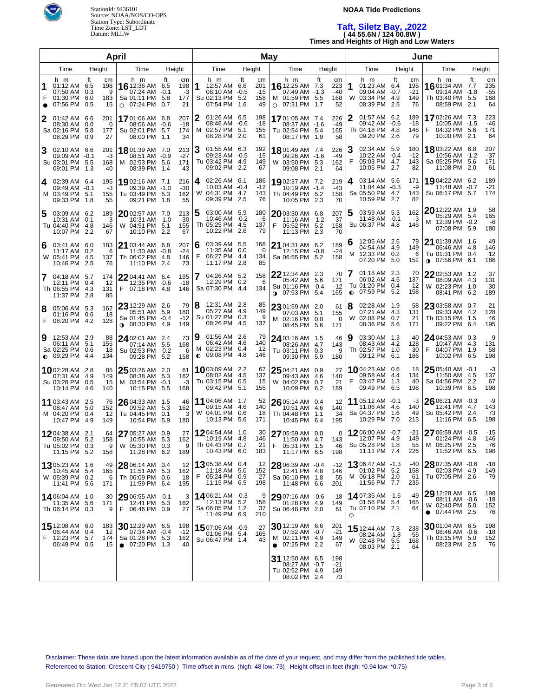

#### **NOAA Tide Predictions**

# **Taft, Siletz Bay, ,2022 ( 44 55.6N / 124 00.8W ) Times and Heights of High and Low Waters**

|        |                                                                           |                                   | April                                                                           |                                                                 | May                  |                                                                           |                  |                                 |      |                                                                                     |     |                                 |         | June                                                                      |                   |                                 |                                                                              |           |                                 |
|--------|---------------------------------------------------------------------------|-----------------------------------|---------------------------------------------------------------------------------|-----------------------------------------------------------------|----------------------|---------------------------------------------------------------------------|------------------|---------------------------------|------|-------------------------------------------------------------------------------------|-----|---------------------------------|---------|---------------------------------------------------------------------------|-------------------|---------------------------------|------------------------------------------------------------------------------|-----------|---------------------------------|
|        | Time                                                                      | Height                            | Time                                                                            | Height                                                          | Time                 |                                                                           | Height           |                                 | Time |                                                                                     |     | Height                          |         | Time                                                                      | Height            |                                 | Time                                                                         |           | Height                          |
| F      | h m<br>01:12 AM 6.5<br>07:50 AM 0.3<br>01:30 PM 6.0<br>07:56 PM 0.5       | ft<br>cm<br>198<br>9<br>183<br>15 | h m<br>16 12:36 AM<br>07:24 AM<br>Sa 01:11 PM<br>07:24 PM<br>$\circ$            | ft<br>cm<br>198<br>6.5<br>-3<br>-0.1<br>177<br>5.8<br>21<br>0.7 | 1                    | h m<br>12:57 AM 6.6<br>08:10 AM -0.5<br>Su 02:13 PM<br>07:54 PM           | ft<br>5.2<br>1.6 | cm<br>201<br>$-15$<br>158<br>49 | 0    | h m<br>16 12:25 AM 7.3<br>07:49 AM -1.3<br>M 01:59 PM 5.5<br>07:31 PM 1.7           | ft  | cm<br>223<br>$-40$<br>168<br>52 | 1<br>W  | h m<br>01:23 AM 6.4<br>09:04 AM -0.7<br>03:34 PM<br>08:39 PM              | ft<br>-4.9<br>2.5 | cm<br>195<br>$-21$<br>149<br>76 | h m<br>1601:34 AM 7.7<br>09:14 AM -1.8<br>Th 03:40 PM 5.5<br>08:59 PM        | ft<br>2.1 | cm<br>235<br>$-55$<br>168<br>64 |
|        | 01:42 AM 6.6<br>08:30 AM 0.0<br>Sa 02:16 PM 5.8<br>08:29 PM               | 201<br>0<br>177<br>0.9<br>27      | 1701:06 AM 6.8<br>08:06 AM<br>Su 02:01 PM<br>08:00 PM                           | 207<br>-0.6<br>$-18$<br>174<br>5.7<br>34<br>1.1                 | 2<br>M               | 01:26 AM 6.5<br>08:46 AM -0.6<br>02:57 PM 5.1<br>08:28 PM 2.0             |                  | 198<br>$-18$<br>155<br>61       |      | 1701:05 AM 7.4<br>08:37 AM -1.6<br>Tu 02:54 PM 5.4<br>08:17 PM 1.9                  |     | 226<br>$-49$<br>165<br>58       |         | 01:57 AM 6.2<br>09:42 AM -0.6<br>Th 04:18 PM 4.8<br>09:20 PM              | 2.6               | 189<br>-18<br>146<br>79         | 1702:26 AM 7.3<br>10:05 AM -1.5<br>F<br>04:32 PM 5.6<br>10:00 PM 2.1         |           | 223<br>-46<br>171<br>64         |
| 3      | 02:10 AM 6.6<br>09:09 AM -0.1<br>Su 03:01 PM 5.5<br>09:01 PM              | 201<br>-3<br>168<br>1.3<br>40     | 1801:39 AM 7.0<br>08:51 AM -0.9<br>02:53 PM<br>M<br>08:39 PM                    | 213<br>$-27$<br>5.6<br>171<br>43<br>1.4                         | З                    | 01:55 AM 6.3<br>09:23 AM -0.5<br>Tu 03:42 PM 4.9<br>09:02 PM 2.2          |                  | 192<br>$-15$<br>149<br>67       |      | 1801:49 AM 7.4<br>09:26 AM -1.6<br>W 03:50 PM 5.3<br>09:08 PM                       | 2.1 | 226<br>$-49$<br>162<br>64       | F       | 02:34 AM 5.9<br>10:22 AM -0.4<br>05:03 PM 4.7<br>10:05 PM                 | 2.7               | 180<br>$-12$<br>143<br>82       | <b>18</b> 03:22 AM 6.8<br>10:56 AM -1.2<br>Sa 05:25 PM 5.6<br>11:08 PM 2.0   |           | 207<br>$-37$<br>171<br>61       |
| 4      | 02:39 AM 6.4<br>09:49 AM -0.1<br>M 03:49 PM 5.1<br>09:33 PM               | 195<br>-3<br>155<br>1.8<br>55     | 1902:16 AM 7.1<br>09:39 AM -1.0<br>Tu 03:49 PM 5.3<br>09:21 PM                  | 216<br>$-30$<br>162<br>55<br>1.8                                | 4<br>W               | 02:26 AM 6.1<br>10:03 AM -0.4<br>04:31 PM 4.7<br>09:39 PM 2.5             |                  | 186<br>$-12$<br>143<br>76       |      | 1902:37 AM 7.2<br>10:19 AM -1.4<br>Th 04:49 PM 5.2<br>10:05 PM                      | 2.3 | 219<br>$-43$<br>158<br>70       | 4       | 03:14 AM 5.6<br>11:04 AM -0.3<br>Sa 05:50 PM 4.7<br>10:59 PM 2.7          |                   | 171<br>-9<br>143<br>82          | 19 04:22 AM 6.2<br>11:48 AM -0.7<br>Su 06:17 PM 5.7                          |           | 189<br>$-21$<br>174             |
| 5      | 03:09 AM 6.2<br>10:31 AM 0.1<br>Tu 04:40 PM 4.8<br>10:07 PM               | 189<br>3<br>146<br>2.2<br>67      | 2002:57 AM 7.0<br>10:31 AM -1.0<br>W 04:51 PM<br>10:10 PM                       | 213<br>$-30$<br>5.1<br>155<br>2.2<br>67                         |                      | 03:00 AM 5.9<br>10:46 AM -0.2<br>Th 05:25 PM 4.5<br>10:22 PM 2.6          |                  | 180<br>-6<br>137<br>79          | F    | 2003:30 AM 6.8<br>$11:16$ AM $-1.2$<br>05:52 PM 5.2<br>11:13 PM                     | 2.3 | 207<br>$-37$<br>158<br>70       |         | 03:59 AM 5.3<br>11:48 AM -0.1<br>Su 06:37 PM 4.8                          |                   | 162<br>-3<br>146                | 20 12:22 AM 1.9<br>05:29 AM 5.4<br>M 12:39 PM -0.2<br>07:08 PM 5.9           |           | 58<br>165<br>-6<br>180          |
| 6      | 03:41 AM 6.0<br>11:17 AM 0.2<br>W 05:41 PM 4.5<br>10:46 PM                | 183<br>6<br>137<br>2.5<br>76      | 21 03:44 AM 6.8<br>11:30 AM<br>Th 06:02 PM<br>11:10 PM                          | 207<br>$-24$<br>$-0.8$<br>-4.8<br>146<br>73<br>2.4              | 6<br>F               | 03:39 AM 5.5<br>11:35 AM 0.0<br>06:27 PM 4.4<br>11:17 PM 2.8              |                  | 168<br>0<br>134<br>85           |      | <b>21</b> 04:31 AM 6.2<br>12:15 PM -0.8<br>Sa 06:55 PM 5.2                          |     | 189<br>$-24$<br>158             | 6<br>M  | 12:05 AM 2.6<br>04:54 AM 4.9<br>12:33 PM 0.2<br>07:20 PM 5.0              |                   | 79<br>149<br>6<br>152           | 21 01:39 AM 1.6<br>06:46 AM 4.8<br>Tu 01:31 PM 0.4<br><b>0</b> 07:56 PM 6.1  |           | 49<br>146<br>12<br>186          |
|        | 04:18 AM 5.7<br>12:11 PM 0.4<br>Th 06:55 PM 4.3<br>11:37 PM               | 174<br>12<br>131<br>2.8<br>85     | $2204:41$ AM 6.4<br>12:35 PM -0.6<br>F 07:18 PM 4.8                             | 195<br>$-18$<br>146                                             |                      | 04:26 AM 5.2<br>12:29 PM 0.2<br>Sa 07:30 PM 4.4                           |                  | 158<br>6<br>134                 |      | <b>22</b> 12:34 AM 2.3<br>05:42 AM 5.6<br>Su 01:16 PM -0.4<br><b>0</b> 07:53 PM 5.4 |     | 70<br>171<br>$-12$<br>165       | 7       | 01:18 AM 2.3<br>06:02 AM 4.5<br>Tu 01:20 PM<br>$O$ 07:59 PM               | 0.4<br>5.2        | 70<br>137<br>12<br>158          | 22 02:53 AM 1.2<br>08:09 AM 4.3<br>W 02:23 PM 1.0<br>08:41 PM 6.2            |           | 37<br>131<br>30<br>189          |
| 8<br>F | 05:06 AM 5.3<br>01:16 PM 0.6<br>08:20 PM 4.2                              | 162<br>18<br>128                  | 23 12:29 AM 2.6<br>05:51 AM 5.9<br>Sa 01:45 PM -0.4<br><b>0</b> 08:30 PM 4.9    | 79<br>180<br>$-12$<br>149                                       | 8                    | 12:31 AM 2.8<br>05:27 AM 4.9<br>Su 01:27 PM 0.3<br>08:26 PM 4.5           |                  | 85<br>149<br>9<br>137           |      | 23 01:59 AM 2.0<br>07:03 AM 5.1<br>M 02:16 PM 0.0<br>08:45 PM 5.6                   |     | 61<br>155<br>0<br>171           | 8<br>W  | 02:28 AM 1.9<br>07:21 AM 4.3<br>02:08 PM<br>08:36 PM 5.6                  | 0.7               | 58<br>131<br>21<br>171          | 23 03:58 AM 0.7<br>09:33 AM 4.2<br>Th 03:15 PM 1.5<br>09:22 PM 6.4           |           | 21<br>128<br>46<br>195          |
| 9      | 12:53 AM 2.9<br>06:11 AM 5.1<br>Sa 02:25 PM 0.6<br>$\bullet$ 09:29 PM 4.4 | 88<br>155<br>18<br>134            | 24 02:01 AM 2.4<br>07:14 AM 5.5<br>Su 02:53 PM -0.2<br>09:28 PM 5.2             | 73<br>168<br>-6<br>158                                          | 19<br>м<br>$\bullet$ | 01:56 AM 2.6<br>06:42 AM 4.6<br>02:23 PM 0.4<br>09:08 PM 4.8              |                  | 79<br>140<br>12<br>146          |      | 24 03:16 AM 1.5<br>08:26 AM 4.7<br>Tu 03:11 PM 0.3<br>09:30 PM 5.9                  |     | 46<br>143<br>9<br>180           | 9       | 03:30 AM 1.3<br>08:43 AM<br>Th 02:57 PM<br>09:12 PM 6.1                   | -4.2<br>1.0       | 40<br>128<br>30<br>186          | 24 04:53 AM 0.3<br>10:47 AM 4.3<br>F<br>04:07 PM 1.9<br>10:02 PM 6.5         |           | 9<br>131<br>58<br>198           |
|        | <b>10</b> 02:28 AM 2.8<br>07:31 AM 4.9<br>Su 03:28 PM 0.5<br>10:14 PM 4.6 | 85<br>149<br>15<br>140            | 25 03:26 AM 2.0<br>08:38 AM 5.3<br>M 03:54 PM<br>10:15 PM 5.5                   | 61<br>162<br>$-0.1$<br>-3<br>168                                |                      | <b>10</b> 03:09 AM 2.2<br>08:02 AM 4.5<br>Tu 03:15 PM 0.5<br>09:42 PM 5.1 |                  | 67<br>137<br>15<br>155          |      | 25 04:21 AM 0.9<br>09:43 AM 4.6<br>W 04:02 PM 0.7<br>10:09 PM 6.2                   |     | 27<br>140<br>21<br>189          | F       | 1004:23 AM 0.6<br>09:58 AM<br>03:47 PM<br>09:49 PM 6.5                    | -4.4<br>1.3       | 18<br>134<br>40<br>198          | 25 05:40 AM -0.1<br>11:50 AM 4.5<br>Sa 04:56 PM 2.2<br>10:39 PM 6.5          |           | -3<br>137<br>67<br>198          |
|        | <b>11</b> 03:43 AM 2.5<br>08:47 AM 5.0<br>M 04:20 PM 0.4<br>10:47 PM 4.9  | 76<br>152<br>-12<br>149           | 26 04:33 AM 1.5<br>09:52 AM 5.3<br>Tu 04:45 PM<br>10:54 PM 5.9                  | 46<br>162<br>0.1<br>-3<br>180                                   |                      | 11 04:06 AM 1.7<br>09:15 AM 4.6<br>W 04:01 PM 0.6<br>10:13 PM 5.6         |                  | 52<br>140<br>18<br>171          |      | 26 05:14 AM 0.4<br>10:51 AM 4.6<br>Th 04:48 PM<br>10:45 PM 6.4                      | 1.1 | 12<br>140<br>34<br>195          |         | 11 05:12 AM -0.1<br>11:06 AM 4.6<br>Sa 04:37 PM<br>10:29 PM 7.0           | 1.6               | -3<br>140<br>49<br>213          | 26 06:21 AM -0.3<br>12:41 PM 4.7<br>Su 05:42 PM 2.4<br>11:16 PM 6.5          |           | -9<br>143<br>73<br>198          |
|        | 1204:38 AM 2.1<br>09:50 AM 5.2<br>Tu 05:02 PM 0.3<br>11:15 PM 5.2         | 64<br>158<br>9<br>158             | 27 05:27 AM 0.9<br>10:55 AM 5.3<br>W 05:30 PM 0.3<br>11:28 PM 6.2               | 27<br>162<br>9<br>189                                           |                      | 1204:54 AM 1.0<br>10:19 AM 4.8<br>Th 04:43 PM 0.7<br>10:43 PM 6.0         |                  | 30<br>146<br>21<br>183          | F    | 27 05:59 AM 0.0<br>11:50 AM 4.7<br>05:31 PM 1.5<br>11:17 PM 6.5                     |     | 0<br>143<br>46<br>198           |         | 1206:00 AM -0.7<br>12:07 PM 4.9<br>Su 05:28 PM 1.8<br>11:11 PM 7.4        |                   | $-21$<br>149<br>55<br>226       | 27 06:59 AM -0.5<br>01:24 PM 4.8<br>M 06:25 PM 2.5<br>11:52 PM 6.5           |           | $-15$<br>146<br>76<br>198       |
|        | 1305:23 AM 1.6<br>10:45 AM 5.4<br>W 05:39 PM 0.2<br>11:41 PM 5.6          | 49<br>165<br>6<br>171             | 28 06:14 AM 0.4<br>11:51 AM 5.3<br>Th 06:09 PM 0.6<br>11:59 PM 6.4              | 12<br>162<br>18<br>195                                          | F                    | 1305:38 AM 0.4<br>11:18 AM 5.0<br>05:24 PM 0.9<br>11:15 PM 6.5            |                  | 12<br>152<br>27<br>198          |      | 28 06:39 AM -0.4<br>12:41 PM 4.8<br>Sa 06:10 PM 1.8<br>11:48 PM 6.6                 |     | $-12$<br>146<br>55<br>201       |         | 1306:47 AM -1.3<br>01:02 PM 5.2<br>M 06:18 PM 2.0<br>11:56 PM 7.7         |                   | -40<br>158<br>61<br>235         | 28 07:35 AM -0.6<br>02:03 PM 4.9<br>Tu 07:05 PM 2.6                          |           | -18<br>149<br>79                |
|        | 14 06:04 AM 1.0<br>11:35 AM 5.6<br>Th 06:14 PM 0.3                        | 30<br>171<br>9                    | 29 06:55 AM -0.1<br>12:41 PM 5.3<br>F 06:46 PM 0.9                              | -3<br>162<br>27                                                 |                      | 1406:21 AM -0.3<br>12:13 PM 5.2<br>Sa 06:05 PM 1.2<br>11:49 PM 6.9        |                  | -9<br>158<br>37<br>210          |      | 29 07:16 AM -0.6<br>01:28 PM 4.9<br>Su 06:48 PM 2.0                                 |     | $-18$<br>149<br>61              | $\circ$ | 1407:35 AM -1.6<br>01:56 PM 5.4<br>Tu 07:10 PM 2.1                        |                   | -49<br>165<br>64                | 29 12:28 AM 6.5<br>08:11 AM -0.6<br>W 02:40 PM 5.0<br>$\bullet$ 07:44 PM 2.5 |           | 198<br>-18<br>152<br>76         |
| F      | 15 12:08 AM 6.0<br>06:44 AM 0.4<br>12:23 PM 5.7<br>06:49 PM 0.5           | 183<br>12<br>174<br>15            | $30$ 12:29 AM 6.5<br>07:34 AM -0.4<br>Sa 01:28 PM 5.3<br>$\bullet$ 07:20 PM 1.3 | 198<br>$-12$<br>162<br>40                                       |                      | 1507:05 AM -0.9<br>01:06 PM 5.4<br>Su 06:47 PM 1.4                        |                  | $-27$<br>165<br>43              |      | $30$ 12:19 AM 6.6<br>07:52 AM -0.7<br>M 02:11 PM 4.9<br>$\bullet$ 07:25 PM 2.2      |     | 201<br>$-21$<br>149<br>67       |         | <b>15</b> 12:44 AM 7.8<br>08:24 AM -1.8<br>W 02:48 PM 5.5<br>08:03 PM 2.1 |                   | 238<br>-55<br>168<br>64         | 3001:04 AM 6.5<br>08:46 AM -0.6<br>Th 03:15 PM 5.0<br>08:23 PM 2.5           |           | 198<br>-18<br>152<br>76         |
|        |                                                                           |                                   |                                                                                 |                                                                 |                      |                                                                           |                  |                                 |      | 31 12:50 AM 6.5<br>08:27 AM -0.7<br>Tu 02:52 PM 4.9<br>08:02 PM 2.4                 |     | 198<br>$-21$<br>149<br>73       |         |                                                                           |                   |                                 |                                                                              |           |                                 |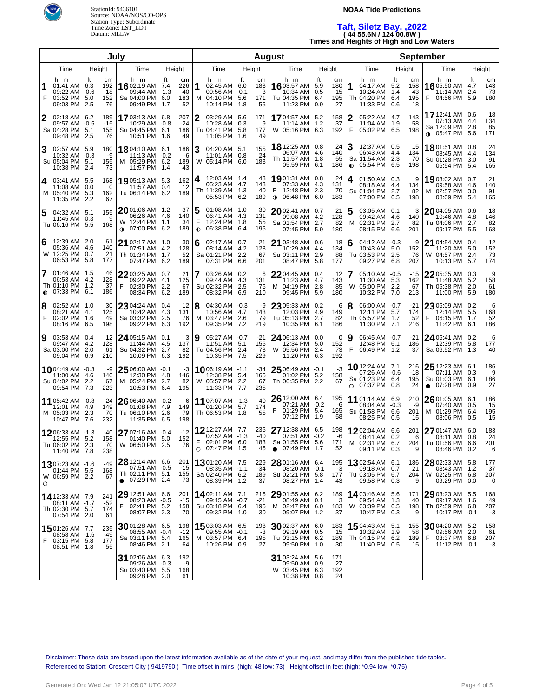

# **NOAA Tide Predictions**

# **Taft, Siletz Bay, ,2022 ( 44 55.6N / 124 00.8W )**

**Times and Heights of High and Low Waters**

| July           |                                                                      |        |                                 |                                                                               |                    |                                 |                | <b>August</b>                                                              |    |                              |                                                              |                                               |            |                              |                |                                                                                |            |                              |                                                                                 |    |                        |
|----------------|----------------------------------------------------------------------|--------|---------------------------------|-------------------------------------------------------------------------------|--------------------|---------------------------------|----------------|----------------------------------------------------------------------------|----|------------------------------|--------------------------------------------------------------|-----------------------------------------------|------------|------------------------------|----------------|--------------------------------------------------------------------------------|------------|------------------------------|---------------------------------------------------------------------------------|----|------------------------|
|                | Time                                                                 | Height |                                 | Time                                                                          | Height             |                                 |                | Time                                                                       |    | Height                       | Time                                                         |                                               |            | Height                       |                | Time                                                                           | Height     |                              | Time                                                                            |    | Height                 |
| F              | h m<br>01:41 AM 6.3<br>09:22 AM -0.6<br>03:52 PM 5.0<br>09:03 PM 2.5 | ft     | cm<br>192<br>$-18$<br>152<br>76 | h m<br>1602:19 AM 7.4<br>09:44 AM -1.3<br>Sa 04:00 PM 6.0<br>09:49 PM         | ft<br>1.7          | cm<br>226<br>$-40$<br>183<br>52 | 1<br>м         | h m<br>02:45 AM 6.0<br>09:56 AM -0.1<br>04:10 PM 5.6<br>10:14 PM 1.8       | ft | cm<br>183<br>-3<br>171<br>55 | h m<br>16 03:57 AM 5.9<br>Tu 04:35 PM 6.4                    | 10:34 AM 0.5<br>11:23 PM 0.9                  | ft         | cm<br>180<br>15<br>195<br>27 | 1              | h m<br>04:17 AM 5.2<br>10:24 AM<br>Th 04:20 PM 6.4<br>11:33 PM 0.6             | ft<br>-1.4 | cm<br>158<br>43<br>195<br>18 | h m<br>16 05:50 AM 4.7<br>11:14 AM 2.4<br>F 04:56 PM 5.9                        | ft | cm<br>143<br>73<br>180 |
| 2              | 02:18 AM 6.2<br>09:57 AM -0.5<br>Sa 04:28 PM 5.1<br>09:48 PM 2.5     |        | 189<br>$-15$<br>155<br>76       | 17 03:13 AM 6.8<br>10:29 AM -0.8<br>Su 04:45 PM 6.1<br>10:51 PM 1.6           |                    | 207<br>-24<br>186<br>49         | 2              | 03:29 AM 5.6<br>10:28 AM 0.3<br>Tu 04:41 PM 5.8<br>11:05 PM 1.6            |    | 171<br>9<br>177<br>49        | 1704:57 AM 5.2<br>W 05:16 PM 6.3                             | 11:14 AM                                      | 1.2        | 158<br>37<br>192             | 2<br>F         | 05:22 AM 4.7<br>11:04 AM 1.9<br>05:02 PM 6.5                                   |            | 143<br>58<br>198             | 17 12:41 AM 0.6<br>07:13 AM 4.4<br>Sa 12:09 PM 2.8<br>$0.05:47 \text{ PM } 5.6$ |    | 18<br>134<br>85<br>171 |
| 3              | 02:57 AM 5.9<br>10:32 AM -0.3<br>Su 05:04 PM 5.1<br>10:38 PM 2.4     |        | 180<br>-9<br>155<br>73          | 18 04:10 AM 6.1<br>11:13 AM -0.2<br>M 05:29 PM 6.2<br>11:57 PM 1.4            |                    | 186<br>-6<br>189<br>43          | 3              | 04:20 AM 5.1<br>11:01 AM 0.8<br>W 05:14 PM 6.0                             |    | 155<br>24<br>183             | 18 12:25 AM 0.8<br>Th 11:57 AM 1.8                           | 06:07 AM 4.6<br>05:59 PM 6.1                  |            | 24<br>140<br>55<br>186       | 3<br>$\bullet$ | 12:37 AM 0.5<br>06:43 AM 4.4<br>Sa 11:54 AM 2.3<br>05:54 PM 6.5                |            | 15<br>134<br>70<br>198       | 1801:51 AM 0.8<br>08:45 AM 4.4<br>Su 01:28 PM 3.0<br>06:54 PM 5.4               |    | 24<br>134<br>91<br>165 |
| 4              | 03:41 AM 5.5<br>11:08 AM 0.0<br>M 05:40 PM 5.3<br>11:35 PM 2.2       |        | 168<br>0<br>162<br>67           | 1905:13 AM 5.3<br>11:57 AM<br>Tu 06:14 PM 6.2                                 | 0.4                | 162<br>12<br>189                | 4              | 12:03 AM 1.4<br>05:23 AM 4.7<br>Th 11:39 AM 1.3<br>05:53 PM 6.2            |    | 43<br>143<br>40<br>189       | 1901:31 AM 0.8<br>F<br>12:48 PM 2.3<br>$\bullet$             | 07:33 AM 4.3<br>06:48 PM 6.0                  |            | 24<br>131<br>70<br>183       | 4              | 01:50 AM 0.3<br>08:18 AM 4.4<br>Su 01:04 PM 2.7<br>07:00 PM 6.5                |            | 9<br>134<br>82<br>198        | 19 03:02 AM 0.7<br>09:58 AM 4.6<br>M 02:57 PM 3.0<br>08:09 PM 5.4               |    | 21<br>140<br>91<br>165 |
| 5              | 04:32 AM 5.1<br>11:45 AM 0.3<br>Tu 06:16 PM 5.5                      |        | 155<br>9<br>168                 | 20 01:06 AM 1.2<br>06:26 AM<br>W 12:44 PM<br>07:00 PM<br>$\bullet$            | 4.6<br>1.1<br>6.2  | 37<br>140<br>34<br>189          | F<br>$\bullet$ | 01:08 AM 1.0<br>06:41 AM 4.3<br>12:24 PM 1.8<br>06:38 PM 6.4               |    | 30<br>131<br>55<br>195       | 2002:41 AM 0.7<br>Sa 01:54 PM 2.7                            | 09:08 AM 4.2<br>07:45 PM 5.9                  |            | 21<br>128<br>82<br>180       | 5<br>м         | 03:05 AM 0.1<br>09:42 AM 4.6<br>02:31 PM 2.7<br>08:15 PM 6.6                   |            | 3<br>140<br>82<br>201        | 2004:05 AM 0.6<br>10:46 AM 4.8<br>Tu 04:06 PM 2.7<br>09:17 PM 5.5               |    | 18<br>146<br>82<br>168 |
| 6              | 12:39 AM 2.0<br>05:36 AM 4.6<br>W 12:25 PM 0.7<br>06:53 PM 5.8       |        | 61<br>140<br>21<br>177          | <b>21</b> 02:17 AM 1.0<br>07:51 AM<br>Th 01:34 PM<br>07:47 PM                 | 4.2<br>1.7<br>6.2  | 30<br>128<br>52<br>189          | 6              | 02:17 AM 0.7<br>08:14 AM 4.2<br>Sa 01:21 PM 2.2<br>07:31 PM 6.6            |    | 21<br>128<br>67<br>201       | 21 03:48 AM 0.6<br>Su 03:11 PM 2.9                           | 10:29 AM 4.4<br>08:47 PM 5.8                  |            | 18<br>134<br>88<br>177       | 6              | 04:12 AM -0.3<br>10:43 AM 5.0<br>Tu 03:53 PM 2.5<br>09:27 PM 6.8               |            | -9<br>152<br>76<br>207       | 21 04:54 AM 0.4<br>11:20 AM 5.0<br>W 04:57 PM 2.4<br>10:13 PM 5.7               |    | 12<br>152<br>73<br>174 |
| 7<br>$\bullet$ | 01:46 AM 1.5<br>06:53 AM 4.2<br>Th 01:10 PM 1.2<br>07:33 PM 6.1      |        | 46<br>128<br>37<br>186          | 22 03:25 AM 0.7<br>09:22 AM<br>02:30 PM<br>F.<br>08:34 PM                     | 4.1<br>2.2<br>6.2  | 21<br>125<br>67<br>189          | 7              | 03:26 AM 0.2<br>09:44 AM 4.3<br>Su 02:32 PM 2.5<br>08:32 PM 6.9            |    | 6<br>131<br>76<br>210        | 22 04:45 AM 0.4<br>M 04:19 PM                                | 11:23 AM 4.7<br>09:45 PM                      | 2.8<br>5.9 | 12<br>143<br>85<br>180       | 7<br>W         | 05:10 AM -0.5<br>11:30 AM 5.3<br>05:00 PM 2.2<br>10:32 PM                      | 7.0        | -15<br>162<br>67<br>213      | 2205:35 AM 0.3<br>11:48 AM 5.2<br>Th 05:38 PM 2.0<br>11:00 PM 5.9               |    | 9<br>158<br>61<br>180  |
| 8<br>F         | 02:52 AM 1.0<br>08:21 AM 4.1<br>02:02 PM 1.6<br>08:16 PM 6.5         |        | 30<br>125<br>49<br>198          | $23$ 04:24 AM 0.4<br>10:42 AM<br>Sa 03:32 PM<br>09:22 PM                      | 4.3<br>2.5<br>6.3  | 12<br>131<br>76<br>192          | 18<br>M        | 04:30 AM -0.3<br>10:56 AM 4.7<br>03:47 PM 2.6<br>09:35 PM 7.2              |    | -9<br>143<br>79<br>219       | 23 05:33 AM 0.2<br>Tu 05:13 PM 2.7                           | 12:03 PM 4.9<br>10:35 PM 6.1                  |            | 6<br>149<br>82<br>186        | 8              | 06:00 AM -0.7<br>12:11 PM 5.7<br>Th 05:57 PM 1.7<br>11:30 PM                   | 7.1        | -21<br>174<br>52<br>216      | 23 06:09 AM 0.2<br>12:14 PM 5.5<br>F<br>06:15 PM 1.7<br>11:42 PM 6.1            |    | 6<br>168<br>52<br>186  |
| 9              | 03:53 AM 0.4<br>09:47 AM 4.2<br>Sa 03:00 PM 2.0<br>09:04 PM 6.9      |        | 12<br>128<br>61<br>210          | $24$ 05:15 AM 0.1<br>11:44 AM<br>Su 04:32 PM<br>10:09 PM                      | 4.5<br>2.7<br>6.3  | 3<br>137<br>82<br>192           | 9              | 05:27 AM -0.7<br>11:51 AM 5.1<br>Tu 04:56 PM 2.4<br>10:35 PM 7.5           |    | $-21$<br>155<br>73<br>229    | 24 06:13 AM 0.0<br>W 05:56 PM                                | 12:34 PM 5.0<br>11:20 PM 6.3                  | 2.4        | 0<br>152<br>73<br>192        | 9<br>F         | 06:45 AM -0.7<br>12:48 PM 6.1<br>06:49 PM 1.2                                  |            | -21<br>186<br>37             | 24 06:41 AM 0.2<br>12:39 PM 5.8<br>Sa 06:52 PM 1.3                              |    | 6<br>177<br>40         |
|                | 1004:49 AM -0.3<br>11:00 AM 4.6<br>Su 04:02 PM<br>09:54 PM 7.3       | 2.2    | -9<br>140<br>67<br>223          | $25$ 06:00 AM $\,$ -0.1 $\,$<br>12:30 PM<br>M 05:24 PM<br>10:53 PM            | -4.8<br>2.7<br>6.4 | -3<br>146<br>82<br>195          |                | <b>10</b> 06:19 AM -1.1<br>12:38 PM 5.4<br>W 05:57 PM 2.2<br>11:33 PM 7.7  |    | -34<br>165<br>67<br>235      | $25$ 06:49 AM $-0.1$<br>Th 06:35 PM 2.2                      | 01:02 PM 5.2                                  |            | -3<br>158<br>67              |                | <b>10</b> 12:24 AM 7.1<br>07:26 AM -0.6<br>Sa 01:23 PM 6.4<br>$O$ 07:37 PM 0.8 |            | 216<br>$-18$<br>195<br>24    | $2512:23$ AM 6.1<br>07:11 AM 0.3<br>Su 01:03 PM 6.1<br>$\bullet$ 07:28 PM 0.9   |    | 186<br>9<br>186<br>27  |
|                | 11 05:42 AM -0.8<br>12:01 PM 4.9<br>M 05:03 PM 2.3<br>10:47 PM       | 7.6    | -24<br>149<br>70<br>232         | $2606:40$ AM $-0.2$<br>01:08 PM<br>Tu 06:10 PM<br>11:35 PM                    | 4.9<br>2.6<br>6.5  | -6<br>149<br>79<br>198          |                | 11 07:07 AM -1.3<br>01:20 PM 5.7<br>Th 06:53 PM 1.8                        |    | $-40$<br>174<br>55           | $2612:00$ AM 6.4<br>F                                        | 07:21 AM -0.2<br>01:29 PM 5.4<br>07:12 PM 1.9 |            | 195<br>-6<br>165<br>58       |                | <b>11</b> 01:14 AM 6.9<br>08:04 AM -0.3<br>Su 01:58 PM 6.6<br>08:25 PM 0.5     |            | 210<br>-9<br>201<br>15       | 26 01:05 AM 6.1<br>07:40 AM 0.5<br>M 01:29 PM 6.4<br>08:06 PM 0.5               |    | 186<br>15<br>195<br>15 |
|                | 1206:33 AM -1.3<br>12:55 PM 5.2<br>Tu 06:02 PM 2.3<br>11:40 PM 7.8   |        | -40<br>158<br>70<br>238         | 27 07:16 AM -0.4<br>01:40 PM 5.0<br>W 06:50 PM 2.5                            |                    | $-12$<br>152<br>76              | F              | 12 12:27 AM 7.7<br>07:52 AM -1.3<br>02:01 PM 6.0<br>$\circ$ 07:47 PM 1.5   |    | 235<br>$-40$<br>183<br>46    | 27 12:38 AM 6.5<br>Sa 01:55 PM 5.6<br>$\bullet$ 07:49 PM 1.7 | 07:51 AM -0.2                                 |            | 198<br>-6<br>171<br>52       |                | 1202:04 AM 6.6<br>08:41 AM 0.2<br>M 02:31 PM 6.7<br>09:11 PM 0.3               |            | 201<br>6<br>204<br>9         | 27 01:47 AM 6.0<br>08:11 AM 0.8<br>Tu 01:56 PM 6.6<br>08:46 PM 0.2              |    | 183<br>24<br>201<br>6  |
| O              | 1307:23 AM -1.6<br>01:44 PM 5.5<br>W 06:59 PM 2.2                    |        | -49<br>168<br>67                | 28 12:14 AM 6.6<br>07:51 AM -0.5<br>Th 02:11 PM 5.1<br>$\bullet$ 07:29 PM 2.4 |                    | 201<br>$-15$<br>155<br>73       |                | <b>13</b> 01:20 AM 7.5<br>08:35 AM -1.1<br>Sa 02:40 PM 6.2<br>08:39 PM 1.2 |    | 229<br>$-34$<br>189<br>37    | Su 02:21 PM 5.8                                              | 08:20 AM -0.1<br>08:27 PM 1.4                 |            | 195<br>-3<br>177<br>43       |                | <b>13</b> 02:54 AM 6.1<br>09:18 AM 0.7<br>Tu 03:05 PM 6.7<br>09:58 PM 0.3      |            | 186<br>21<br>204<br>9        | 28 02:33 AM 5.8<br>08:43 AM 1.2<br>W 02:25 PM 6.8<br>09:29 PM 0.0               |    | 177<br>37<br>207<br>0  |
|                | 14 12:33 AM 7.9<br>08:11 AM -1.7<br>Th 02:30 PM 5.7<br>07:54 PM 2.0  |        | 241<br>-52<br>174<br>61         | 29 12:51 AM 6.6<br>08:23 AM -0.5<br>F 02:41 PM 5.2<br>08:07 PM 2.3            |                    | 201<br>$-15$<br>158<br>70       |                | <b>14</b> 02:11 AM 7.1<br>09:15 AM -0.7<br>Su 03:18 PM 6.4<br>09:32 PM 1.0 |    | 216<br>$-21$<br>195<br>30    | $2901:55$ AM 6.2<br>M 02:47 PM 6.0                           | 08:49 AM 0.1<br>09:07 PM 1.2                  |            | 189<br>3<br>183<br>37        |                | 14 03:46 AM 5.6<br>09:54 AM 1.3<br>W 03:39 PM 6.5<br>10:47 PM 0.3              |            | 171<br>40<br>198<br>9        | 29 03:23 AM 5.5<br>09:17 AM 1.6<br>Th 02:59 PM 6.8<br>10:17 PM -0.1             |    | 168<br>49<br>207<br>-3 |
| F              | 1501:26 AM 7.7<br>08:58 AM -1.6<br>03:15 PM 5.8<br>08:51 PM 1.8      |        | 235<br>-49<br>177<br>55         | $30$ 01:28 AM 6.5<br>08:55 AM -0.4<br>Sa 03:11 PM 5.4<br>08:46 PM 2.1         |                    | 198<br>-12<br>165<br>64         |                | 15 03:03 AM 6.5<br>09:55 AM -0.1<br>M 03:57 PM 6.4<br>10:26 PM 0.9         |    | 198<br>-3<br>195<br>27       | 3002:37 AM 6.0<br>Tu 03:15 PM 6.2                            | 09:19 AM 0.5<br>09:50 PM 1.0                  |            | 183<br>15<br>189<br>30       |                | 1504:43 AM 5.1<br>10:32 AM 1.9<br>Th 04:15 PM 6.2<br>11:40 PM 0.5              |            | 155<br>58<br>189<br>15       | 3004:20 AM 5.2<br>09:56 AM 2.0<br>F<br>03:37 PM 6.8<br>11:12 PM -0.1            |    | 158<br>61<br>207<br>-3 |
|                |                                                                      |        |                                 | 31 02:06 AM 6.3<br>09:26 AM -0.3<br>Su 03:40 PM 5.5<br>09:28 PM 2.0           |                    | 192<br>-9<br>168<br>61          |                |                                                                            |    |                              | 31 03:24 AM 5.6<br>W 03:45 PM 6.3                            | 09:50 AM 0.9<br>10:38 PM 0.8                  |            | 171<br>27<br>192<br>24       |                |                                                                                |            |                              |                                                                                 |    |                        |